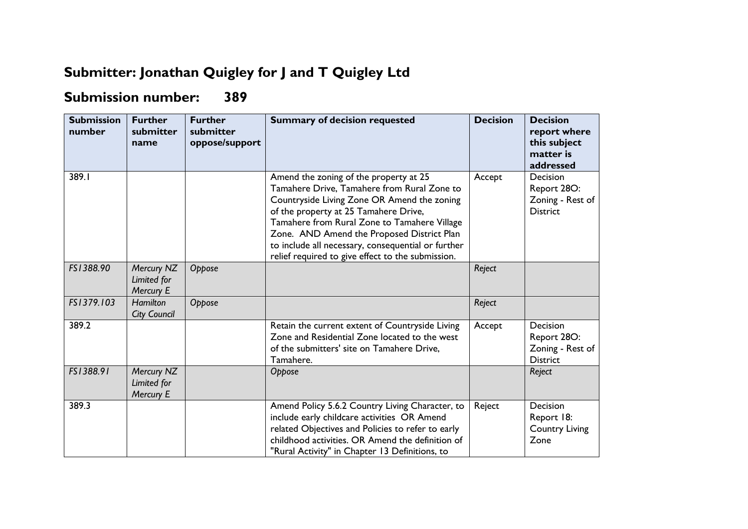## **Submitter: Jonathan Quigley for J and T Quigley Ltd**

## **Submission number: 389**

| <b>Submission</b><br>number | <b>Further</b><br>submitter<br>name    | <b>Further</b><br>submitter<br>oppose/support | <b>Summary of decision requested</b>                                                                                                                                                                                                                                                                                                                                                   | <b>Decision</b> | <b>Decision</b><br>report where<br>this subject<br>matter is<br>addressed |
|-----------------------------|----------------------------------------|-----------------------------------------------|----------------------------------------------------------------------------------------------------------------------------------------------------------------------------------------------------------------------------------------------------------------------------------------------------------------------------------------------------------------------------------------|-----------------|---------------------------------------------------------------------------|
| 389.I                       |                                        |                                               | Amend the zoning of the property at 25<br>Tamahere Drive, Tamahere from Rural Zone to<br>Countryside Living Zone OR Amend the zoning<br>of the property at 25 Tamahere Drive,<br>Tamahere from Rural Zone to Tamahere Village<br>Zone. AND Amend the Proposed District Plan<br>to include all necessary, consequential or further<br>relief required to give effect to the submission. | Accept          | Decision<br>Report 28O:<br>Zoning - Rest of<br><b>District</b>            |
| FS1388.90                   | Mercury NZ<br>Limited for<br>Mercury E | Oppose                                        |                                                                                                                                                                                                                                                                                                                                                                                        | Reject          |                                                                           |
| FS1379.103                  | <b>Hamilton</b><br><b>City Council</b> | Oppose                                        |                                                                                                                                                                                                                                                                                                                                                                                        | Reject          |                                                                           |
| 389.2                       |                                        |                                               | Retain the current extent of Countryside Living<br>Zone and Residential Zone located to the west<br>of the submitters' site on Tamahere Drive,<br>Tamahere.                                                                                                                                                                                                                            | Accept          | Decision<br>Report 28O:<br>Zoning - Rest of<br><b>District</b>            |
| FS1388.91                   | Mercury NZ<br>Limited for<br>Mercury E |                                               | Oppose                                                                                                                                                                                                                                                                                                                                                                                 |                 | Reject                                                                    |
| 389.3                       |                                        |                                               | Amend Policy 5.6.2 Country Living Character, to<br>include early childcare activities OR Amend<br>related Objectives and Policies to refer to early<br>childhood activities. OR Amend the definition of<br>"Rural Activity" in Chapter 13 Definitions, to                                                                                                                              | Reject          | Decision<br>Report 18:<br><b>Country Living</b><br>Zone                   |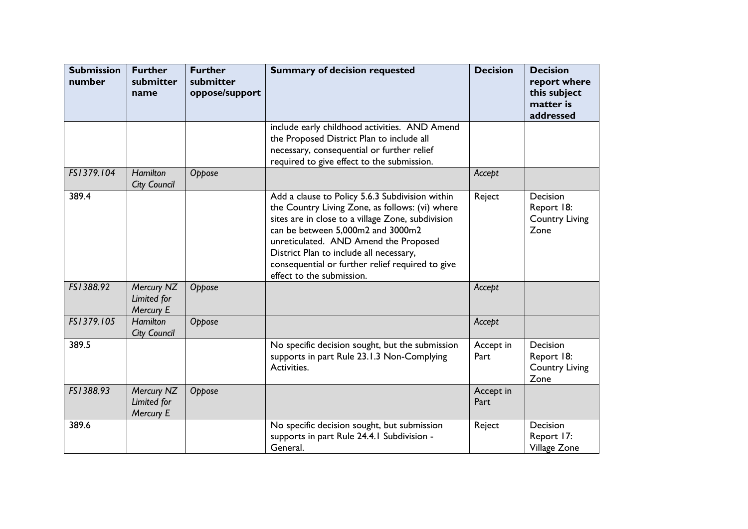| <b>Submission</b><br>number | <b>Further</b><br>submitter<br>name    | <b>Further</b><br>submitter<br>oppose/support | <b>Summary of decision requested</b>                                                                                                                                                                                                                                                                                                                              | <b>Decision</b>   | <b>Decision</b><br>report where<br>this subject<br>matter is<br>addressed |
|-----------------------------|----------------------------------------|-----------------------------------------------|-------------------------------------------------------------------------------------------------------------------------------------------------------------------------------------------------------------------------------------------------------------------------------------------------------------------------------------------------------------------|-------------------|---------------------------------------------------------------------------|
|                             |                                        |                                               | include early childhood activities. AND Amend<br>the Proposed District Plan to include all<br>necessary, consequential or further relief<br>required to give effect to the submission.                                                                                                                                                                            |                   |                                                                           |
| FS1379.104                  | <b>Hamilton</b><br><b>City Council</b> | Oppose                                        |                                                                                                                                                                                                                                                                                                                                                                   | Accept            |                                                                           |
| 389.4                       |                                        |                                               | Add a clause to Policy 5.6.3 Subdivision within<br>the Country Living Zone, as follows: (vi) where<br>sites are in close to a village Zone, subdivision<br>can be between 5,000m2 and 3000m2<br>unreticulated. AND Amend the Proposed<br>District Plan to include all necessary,<br>consequential or further relief required to give<br>effect to the submission. | Reject            | Decision<br>Report 18:<br><b>Country Living</b><br>Zone                   |
| FS1388.92                   | Mercury NZ<br>Limited for<br>Mercury E | Oppose                                        |                                                                                                                                                                                                                                                                                                                                                                   | Accept            |                                                                           |
| FS1379.105                  | <b>Hamilton</b><br><b>City Council</b> | Oppose                                        |                                                                                                                                                                                                                                                                                                                                                                   | Accept            |                                                                           |
| 389.5                       |                                        |                                               | No specific decision sought, but the submission<br>supports in part Rule 23.1.3 Non-Complying<br>Activities.                                                                                                                                                                                                                                                      | Accept in<br>Part | Decision<br>Report 18:<br><b>Country Living</b><br>Zone                   |
| FS1388.93                   | Mercury NZ<br>Limited for<br>Mercury E | Oppose                                        |                                                                                                                                                                                                                                                                                                                                                                   | Accept in<br>Part |                                                                           |
| 389.6                       |                                        |                                               | No specific decision sought, but submission<br>supports in part Rule 24.4.1 Subdivision -<br>General.                                                                                                                                                                                                                                                             | Reject            | Decision<br>Report 17:<br>Village Zone                                    |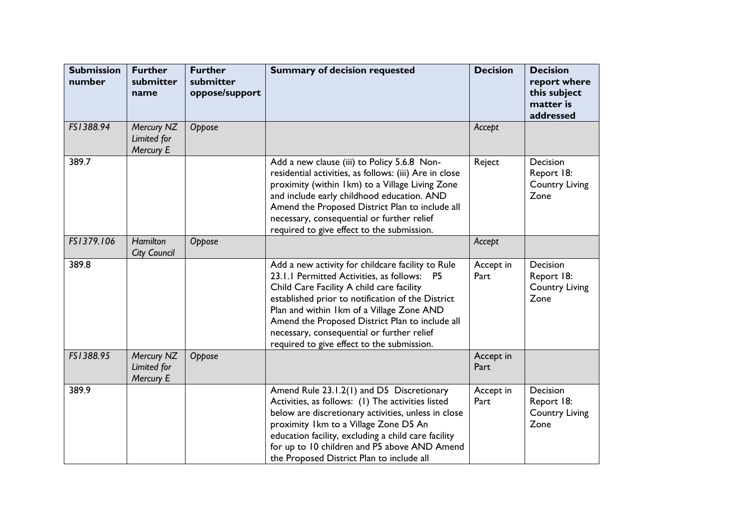| <b>Submission</b><br>number | <b>Further</b><br>submitter<br>name    | <b>Further</b><br>submitter<br>oppose/support | <b>Summary of decision requested</b>                                                                                                                                                                                                                                                                                                                                                                     | <b>Decision</b>   | <b>Decision</b><br>report where<br>this subject<br>matter is<br>addressed |
|-----------------------------|----------------------------------------|-----------------------------------------------|----------------------------------------------------------------------------------------------------------------------------------------------------------------------------------------------------------------------------------------------------------------------------------------------------------------------------------------------------------------------------------------------------------|-------------------|---------------------------------------------------------------------------|
| FS1388.94                   | Mercury NZ<br>Limited for<br>Mercury E | Oppose                                        |                                                                                                                                                                                                                                                                                                                                                                                                          | Accept            |                                                                           |
| 389.7                       |                                        |                                               | Add a new clause (iii) to Policy 5.6.8 Non-<br>residential activities, as follows: (iii) Are in close<br>proximity (within 1km) to a Village Living Zone<br>and include early childhood education. AND<br>Amend the Proposed District Plan to include all<br>necessary, consequential or further relief<br>required to give effect to the submission.                                                    | Reject            | Decision<br>Report 18:<br><b>Country Living</b><br>Zone                   |
| FS1379.106                  | <b>Hamilton</b><br><b>City Council</b> | Oppose                                        |                                                                                                                                                                                                                                                                                                                                                                                                          | Accept            |                                                                           |
| 389.8                       |                                        |                                               | Add a new activity for childcare facility to Rule<br>23.1.1 Permitted Activities, as follows:<br><b>P5</b><br>Child Care Facility A child care facility<br>established prior to notification of the District<br>Plan and within Ikm of a Village Zone AND<br>Amend the Proposed District Plan to include all<br>necessary, consequential or further relief<br>required to give effect to the submission. | Accept in<br>Part | Decision<br>Report 18:<br><b>Country Living</b><br>Zone                   |
| FS1388.95                   | Mercury NZ<br>Limited for<br>Mercury E | Oppose                                        |                                                                                                                                                                                                                                                                                                                                                                                                          | Accept in<br>Part |                                                                           |
| 389.9                       |                                        |                                               | Amend Rule 23.1.2(1) and D5 Discretionary<br>Activities, as follows: (I) The activities listed<br>below are discretionary activities, unless in close<br>proximity Ikm to a Village Zone D5 An<br>education facility, excluding a child care facility<br>for up to 10 children and P5 above AND Amend<br>the Proposed District Plan to include all                                                       | Accept in<br>Part | Decision<br>Report 18:<br><b>Country Living</b><br>Zone                   |